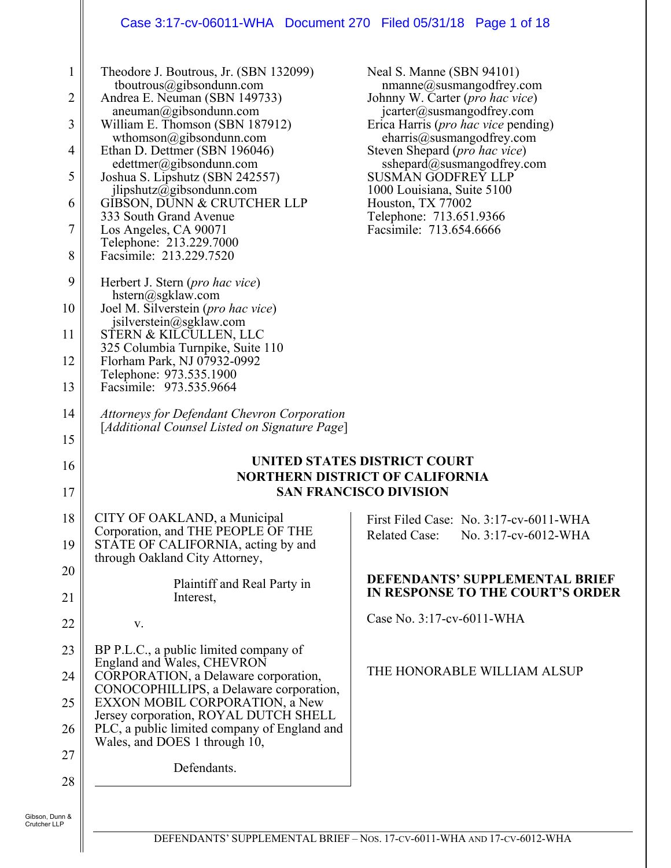### Case 3:17-cv-06011-WHA Document 270 Filed 05/31/18 Page 1 of 18

| 1<br>2<br>3 | Theodore J. Boutrous, Jr. (SBN 132099)<br>tboutrous@gibsondunn.com<br>Andrea E. Neuman (SBN 149733)<br>aneuman@gibsondunn.com<br>William E. Thomson (SBN 187912) | Neal S. Manne (SBN 94101)<br>$m$ manne@susmangodfrey.com<br>Johnny W. Carter (pro hac vice)<br>jcarter@susmangodfrey.com<br>Erica Harris ( <i>pro hac vice</i> pending) |
|-------------|------------------------------------------------------------------------------------------------------------------------------------------------------------------|-------------------------------------------------------------------------------------------------------------------------------------------------------------------------|
| 4           | wthomson@gibsondunn.com<br>Ethan D. Dettmer (SBN 196046)                                                                                                         | charris@susmangodfrey.com<br>Steven Shepard (pro hac vice)                                                                                                              |
| 5           | edettmer@gibsondunn.com<br>Joshua S. Lipshutz (SBN 242557)                                                                                                       | sshepard@susmangodfrey.com<br><b>SUSMAN GODFREY LLP</b>                                                                                                                 |
| 6           | jlipshutz@gibsondunn.com<br>GIBSON, DUNN & CRUTCHER LLP                                                                                                          | 1000 Louisiana, Suite 5100<br>Houston, TX 77002                                                                                                                         |
| 7           | 333 South Grand Avenue<br>Los Angeles, CA 90071<br>Telephone: 213.229.7000                                                                                       | Telephone: 713.651.9366<br>Facsimile: 713.654.6666                                                                                                                      |
| 8           | Facsimile: 213.229.7520                                                                                                                                          |                                                                                                                                                                         |
| 9           | Herbert J. Stern (pro hac vice)<br>hstern@sgklaw.com                                                                                                             |                                                                                                                                                                         |
| 10          | Joel M. Silverstein (pro hac vice)<br>jsilverstein@sgklaw.com                                                                                                    |                                                                                                                                                                         |
| 11          | STERN & KILCULLEN, LLC<br>325 Columbia Turnpike, Suite 110                                                                                                       |                                                                                                                                                                         |
| 12          | Florham Park, NJ 07932-0992<br>Telephone: 973.535.1900                                                                                                           |                                                                                                                                                                         |
| 13          | Facsimile: 973.535.9664                                                                                                                                          |                                                                                                                                                                         |
| 14          | <b>Attorneys for Defendant Chevron Corporation</b><br>[Additional Counsel Listed on Signature Page]                                                              |                                                                                                                                                                         |
| 15          |                                                                                                                                                                  |                                                                                                                                                                         |
|             |                                                                                                                                                                  |                                                                                                                                                                         |
| 16          |                                                                                                                                                                  | UNITED STATES DISTRICT COURT                                                                                                                                            |
| 17          |                                                                                                                                                                  | <b>NORTHERN DISTRICT OF CALIFORNIA</b><br><b>SAN FRANCISCO DIVISION</b>                                                                                                 |
| 18          | CITY OF OAKLAND, a Municipal                                                                                                                                     | First Filed Case: No. 3:17-cv-6011-WHA                                                                                                                                  |
| 19          | Corporation, and THE PEOPLE OF THE<br>STATE OF CALIFORNIA, acting by and<br>through Oakland City Attorney,                                                       | <b>Related Case:</b><br>No. 3:17-cv-6012-WHA                                                                                                                            |
| 20<br>21    | Plaintiff and Real Party in<br>Interest,                                                                                                                         | <b>DEFENDANTS' SUPPLEMENTAL BRIEF</b><br>IN RESPONSE TO THE COURT'S ORDER                                                                                               |
| 22          | V.                                                                                                                                                               | Case No. 3:17-cv-6011-WHA                                                                                                                                               |
| 23          | BP P.L.C., a public limited company of                                                                                                                           |                                                                                                                                                                         |
| 24          | England and Wales, CHEVRON<br>CORPORATION, a Delaware corporation,                                                                                               | THE HONORABLE WILLIAM ALSUP                                                                                                                                             |
| 25          | CONOCOPHILLIPS, a Delaware corporation,<br>EXXON MOBIL CORPORATION, a New                                                                                        |                                                                                                                                                                         |
| 26          | Jersey corporation, ROYAL DUTCH SHELL<br>PLC, a public limited company of England and                                                                            |                                                                                                                                                                         |
| 27          | Wales, and DOES 1 through 10,                                                                                                                                    |                                                                                                                                                                         |
| 28          | Defendants.                                                                                                                                                      |                                                                                                                                                                         |

Ш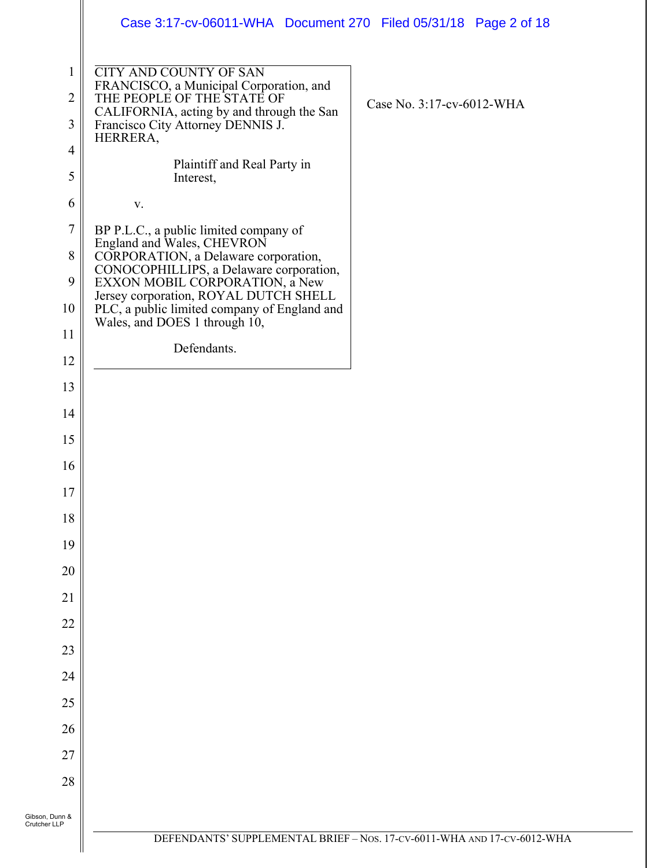|                                                      | Case 3:17-cv-06011-WHA Document 270 Filed 05/31/18 Page 2 of 18                                                                                                                                                                                                                                                     |                                                                         |
|------------------------------------------------------|---------------------------------------------------------------------------------------------------------------------------------------------------------------------------------------------------------------------------------------------------------------------------------------------------------------------|-------------------------------------------------------------------------|
| $\mathbf 1$<br>$\overline{2}$<br>3<br>$\overline{4}$ | <b>CITY AND COUNTY OF SAN</b><br>FRANCISCO, a Municipal Corporation, and<br>THE PEOPLE OF THE STATE OF<br>CALIFORNIA, acting by and through the San<br>Francisco City Attorney DENNIS J.<br>HERRERA,                                                                                                                | Case No. 3:17-cv-6012-WHA                                               |
| 5                                                    | Plaintiff and Real Party in<br>Interest,                                                                                                                                                                                                                                                                            |                                                                         |
| 6                                                    | $\mathbf{V}$ .                                                                                                                                                                                                                                                                                                      |                                                                         |
| $\tau$<br>8<br>9<br>10                               | BP P.L.C., a public limited company of<br>England and Wales, CHEVRON<br>CORPORATION, a Delaware corporation,<br>CONOCOPHILLIPS, a Delaware corporation,<br>EXXON MOBIL CORPORATION, a New<br>Jersey corporation, ROYAL DUTCH SHELL<br>PLC, a public limited company of England and<br>Wales, and DOES 1 through 10, |                                                                         |
| 11<br>12                                             | Defendants.                                                                                                                                                                                                                                                                                                         |                                                                         |
| 13                                                   |                                                                                                                                                                                                                                                                                                                     |                                                                         |
| 14                                                   |                                                                                                                                                                                                                                                                                                                     |                                                                         |
| 15                                                   |                                                                                                                                                                                                                                                                                                                     |                                                                         |
| 16                                                   |                                                                                                                                                                                                                                                                                                                     |                                                                         |
| $17\,$                                               |                                                                                                                                                                                                                                                                                                                     |                                                                         |
| 18                                                   |                                                                                                                                                                                                                                                                                                                     |                                                                         |
| 19                                                   |                                                                                                                                                                                                                                                                                                                     |                                                                         |
| 20                                                   |                                                                                                                                                                                                                                                                                                                     |                                                                         |
| 21                                                   |                                                                                                                                                                                                                                                                                                                     |                                                                         |
| 22                                                   |                                                                                                                                                                                                                                                                                                                     |                                                                         |
| 23                                                   |                                                                                                                                                                                                                                                                                                                     |                                                                         |
| 24                                                   |                                                                                                                                                                                                                                                                                                                     |                                                                         |
| 25                                                   |                                                                                                                                                                                                                                                                                                                     |                                                                         |
| 26                                                   |                                                                                                                                                                                                                                                                                                                     |                                                                         |
| 27                                                   |                                                                                                                                                                                                                                                                                                                     |                                                                         |
| 28                                                   |                                                                                                                                                                                                                                                                                                                     |                                                                         |
| Gibson, Dunn &<br>Crutcher LLP                       |                                                                                                                                                                                                                                                                                                                     |                                                                         |
|                                                      |                                                                                                                                                                                                                                                                                                                     | DEFENDANTS' SUPPLEMENTAL BRIEF - Nos. 17-CV-6011-WHA AND 17-CV-6012-WHA |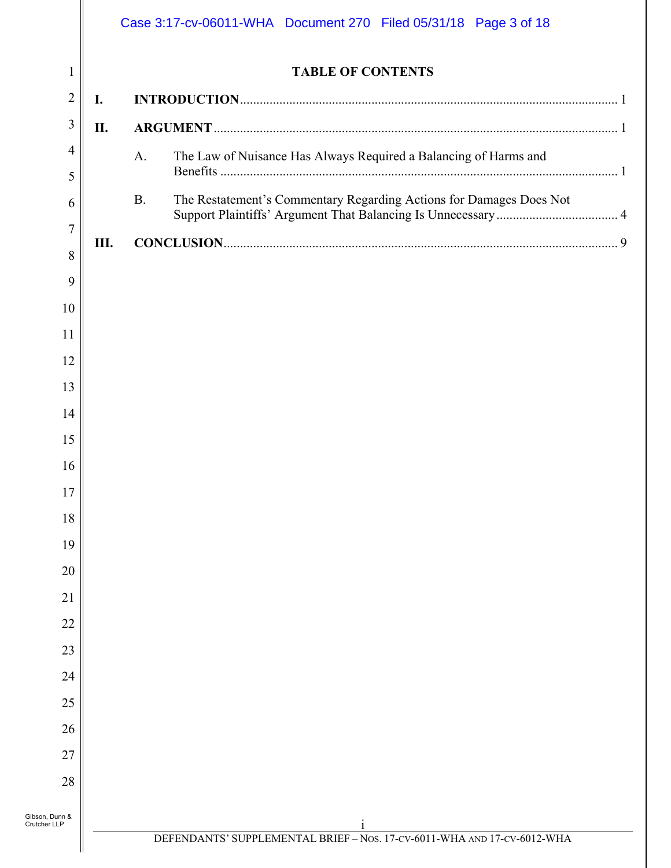|     | <b>TABLE OF CONTENTS</b>                                                         |
|-----|----------------------------------------------------------------------------------|
| I.  |                                                                                  |
| II. |                                                                                  |
|     | The Law of Nuisance Has Always Required a Balancing of Harms and<br>A.           |
|     | The Restatement's Commentary Regarding Actions for Damages Does Not<br><b>B.</b> |
| Ш.  |                                                                                  |
|     |                                                                                  |
|     |                                                                                  |
|     |                                                                                  |
|     |                                                                                  |
|     |                                                                                  |
|     |                                                                                  |
|     |                                                                                  |
|     |                                                                                  |
|     |                                                                                  |
|     |                                                                                  |
|     |                                                                                  |
|     |                                                                                  |
|     |                                                                                  |
|     |                                                                                  |
|     |                                                                                  |
|     |                                                                                  |
|     |                                                                                  |
|     |                                                                                  |
|     |                                                                                  |
|     |                                                                                  |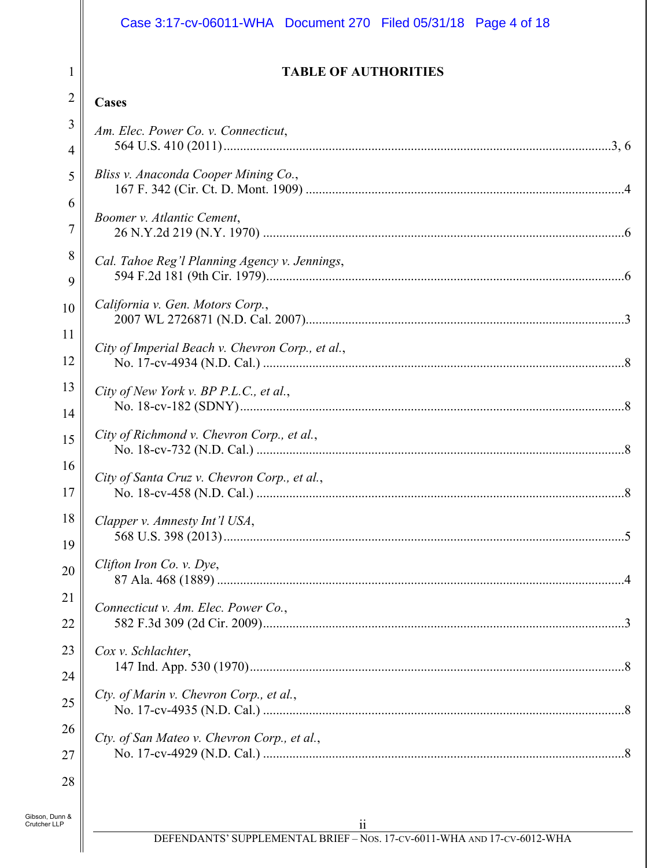# Case 3:17-cv-06011-WHA Document 270 Filed 05/31/18 Page 4 of 18

1  $\sim$  1

 $\mathbb I$ 

#### **TABLE OF AUTHORITIES**

| ∠                              | Cases                                            |  |
|--------------------------------|--------------------------------------------------|--|
| 3                              | Am. Elec. Power Co. v. Connecticut,              |  |
| $\overline{4}$                 |                                                  |  |
| 5                              | Bliss v. Anaconda Cooper Mining Co.,             |  |
| 6                              |                                                  |  |
| 7                              | Boomer v. Atlantic Cement,                       |  |
| 8                              | Cal. Tahoe Reg'l Planning Agency v. Jennings,    |  |
| 9                              |                                                  |  |
| 10                             | California v. Gen. Motors Corp.,                 |  |
| 11                             |                                                  |  |
| 12                             | City of Imperial Beach v. Chevron Corp., et al., |  |
| 13                             | City of New York v. BP P.L.C., et al.,           |  |
| 14                             |                                                  |  |
| 15                             | City of Richmond v. Chevron Corp., et al.,       |  |
| 16                             |                                                  |  |
| 17                             | City of Santa Cruz v. Chevron Corp., et al.,     |  |
| 18                             | Clapper v. Amnesty Int'l USA,                    |  |
| 19                             |                                                  |  |
| 20                             | Clifton Iron Co. v. Dye,                         |  |
| 21                             |                                                  |  |
| 22                             | Connecticut v. Am. Elec. Power Co.,              |  |
| 23                             | Cox v. Schlachter,                               |  |
| 24                             |                                                  |  |
| 25                             | Cty. of Marin v. Chevron Corp., et al.,          |  |
|                                |                                                  |  |
| 26<br>27                       | Cty. of San Mateo v. Chevron Corp., et al.,      |  |
|                                |                                                  |  |
| 28                             |                                                  |  |
| Gibson, Dunn &<br>Crutcher LLP | $\ddot{\mathbf{i}}$                              |  |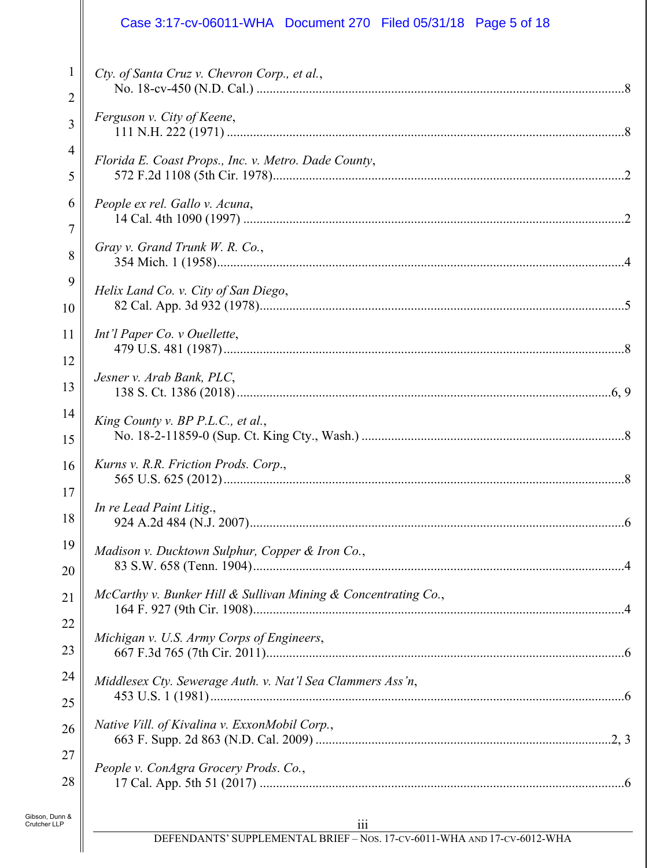|                     | Case 3:17-cv-06011-WHA  Document 270  Filed 05/31/18  Page 5 of 18 |
|---------------------|--------------------------------------------------------------------|
| 1<br>$\overline{2}$ | Cty. of Santa Cruz v. Chevron Corp., et al.,                       |
| 3                   | Ferguson v. City of Keene,                                         |
| $\overline{4}$      | Florida E. Coast Props., Inc. v. Metro. Dade County,               |
| 5                   |                                                                    |
| 6                   | People ex rel. Gallo v. Acuna,                                     |
| 7<br>8              | Gray v. Grand Trunk W. R. Co.,                                     |
| 9                   | Helix Land Co. v. City of San Diego,                               |
| 10                  |                                                                    |
| 11                  | Int'l Paper Co. v Ouellette,                                       |
| 12                  | Jesner v. Arab Bank, PLC,                                          |
| 13                  |                                                                    |
| 14<br>15            | King County v. BP P.L.C., et al.,                                  |
| 16                  | Kurns v. R.R. Friction Prods. Corp.,                               |
| 17                  | In re Lead Paint Litig.,                                           |
| 18                  |                                                                    |
| 19                  | Madison v. Ducktown Sulphur, Copper & Iron Co.,                    |
| 20                  | McCarthy v. Bunker Hill & Sullivan Mining & Concentrating Co.,     |
| 21                  |                                                                    |
| 22                  | Michigan v. U.S. Army Corps of Engineers,                          |
| 23                  |                                                                    |
| 24<br>25            | Middlesex Cty. Sewerage Auth. v. Nat'l Sea Clammers Ass'n,         |
| 26                  | Native Vill. of Kivalina v. ExxonMobil Corp.,                      |
| 27                  |                                                                    |
| 28                  | People v. ConAgra Grocery Prods. Co.,                              |
| ነበ &                |                                                                    |

Gibson, Dunn & Crutcher LLP

Ш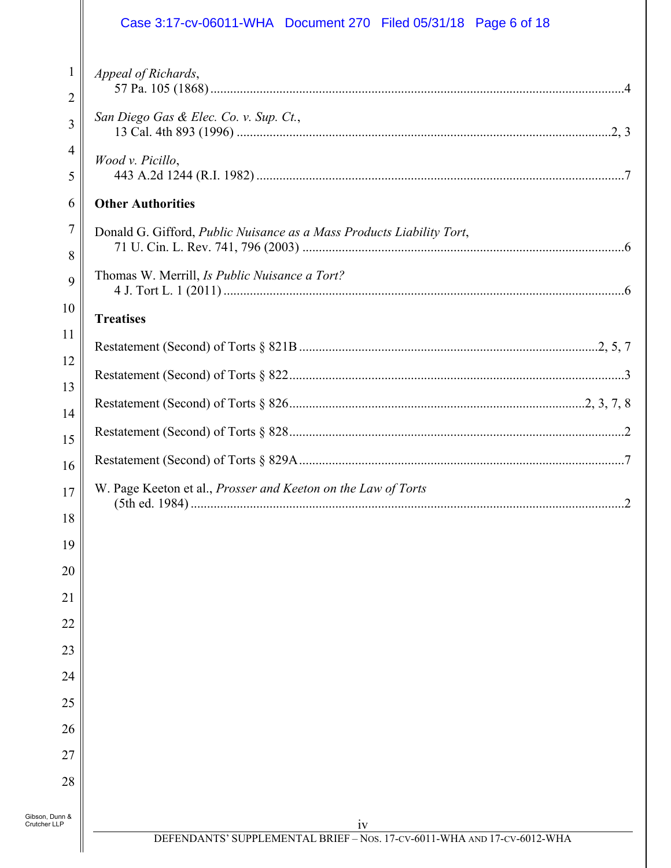|                                | Case 3:17-cv-06011-WHA  Document 270  Filed 05/31/18  Page 6 of 18      |
|--------------------------------|-------------------------------------------------------------------------|
| $\mathbf{I}$<br>$\overline{2}$ | Appeal of Richards,                                                     |
| 3                              | San Diego Gas & Elec. Co. v. Sup. Ct.,                                  |
| 4<br>5                         | Wood v. Picillo,                                                        |
| 6                              | <b>Other Authorities</b>                                                |
| $\overline{7}$<br>8            | Donald G. Gifford, Public Nuisance as a Mass Products Liability Tort,   |
| 9                              | Thomas W. Merrill, Is Public Nuisance a Tort?                           |
| 10                             | <b>Treatises</b>                                                        |
| 11                             |                                                                         |
| 12                             |                                                                         |
| 13                             |                                                                         |
| 14<br>15                       |                                                                         |
| 16                             |                                                                         |
| 17                             | W. Page Keeton et al., Prosser and Keeton on the Law of Torts           |
| 18                             |                                                                         |
| 19                             |                                                                         |
| 20                             |                                                                         |
| 21                             |                                                                         |
| 22                             |                                                                         |
| 23                             |                                                                         |
| 24                             |                                                                         |
| 25                             |                                                                         |
| 26                             |                                                                         |
| 27                             |                                                                         |
| 28                             |                                                                         |
| Gibson, Dunn &<br>Crutcher LLP | $1\mathrm{V}$                                                           |
|                                | DEFENDANTS' SUPPLEMENTAL BRIEF - Nos. 17-cv-6011-WHA AND 17-cv-6012-WHA |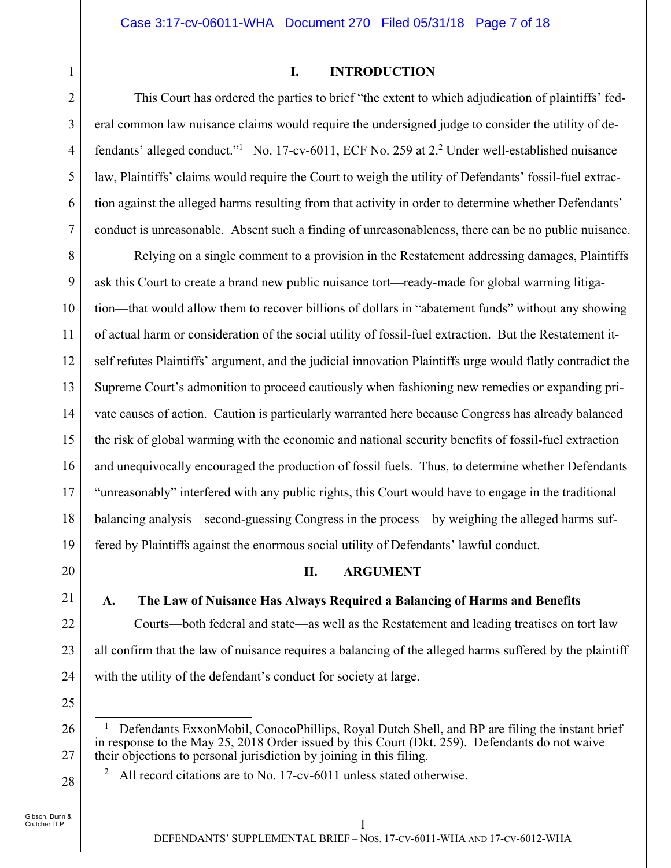# **I. INTRODUCTION**

This Court has ordered the parties to brief "the extent to which adjudication of plaintiffs' federal common law nuisance claims would require the undersigned judge to consider the utility of defendants' alleged conduct."<sup>1</sup> No. 17-cv-6011, ECF No. 259 at 2.<sup>2</sup> Under well-established nuisance law, Plaintiffs' claims would require the Court to weigh the utility of Defendants' fossil-fuel extraction against the alleged harms resulting from that activity in order to determine whether Defendants' conduct is unreasonable. Absent such a finding of unreasonableness, there can be no public nuisance.

8 9 10 11 12 13 14 15 16 17 18 19 Relying on a single comment to a provision in the Restatement addressing damages, Plaintiffs ask this Court to create a brand new public nuisance tort—ready-made for global warming litigation—that would allow them to recover billions of dollars in "abatement funds" without any showing of actual harm or consideration of the social utility of fossil-fuel extraction. But the Restatement itself refutes Plaintiffs' argument, and the judicial innovation Plaintiffs urge would flatly contradict the Supreme Court's admonition to proceed cautiously when fashioning new remedies or expanding private causes of action. Caution is particularly warranted here because Congress has already balanced the risk of global warming with the economic and national security benefits of fossil-fuel extraction and unequivocally encouraged the production of fossil fuels. Thus, to determine whether Defendants "unreasonably" interfered with any public rights, this Court would have to engage in the traditional balancing analysis—second-guessing Congress in the process—by weighing the alleged harms suffered by Plaintiffs against the enormous social utility of Defendants' lawful conduct.

20

21

22

23

24

1

2

3

4

5

6

7

# **II. ARGUMENT**

**A. The Law of Nuisance Has Always Required a Balancing of Harms and Benefits** 

Courts—both federal and state—as well as the Restatement and leading treatises on tort law all confirm that the law of nuisance requires a balancing of the alleged harms suffered by the plaintiff with the utility of the defendant's conduct for society at large.

25

26

27

28

2 All record citations are to No. 17-cv-6011 unless stated otherwise.

 <sup>1</sup> Defendants ExxonMobil, ConocoPhillips, Royal Dutch Shell, and BP are filing the instant brief in response to the May 25, 2018 Order issued by this Court (Dkt. 259). Defendants do not waive their objections to personal jurisdiction by joining in this filing.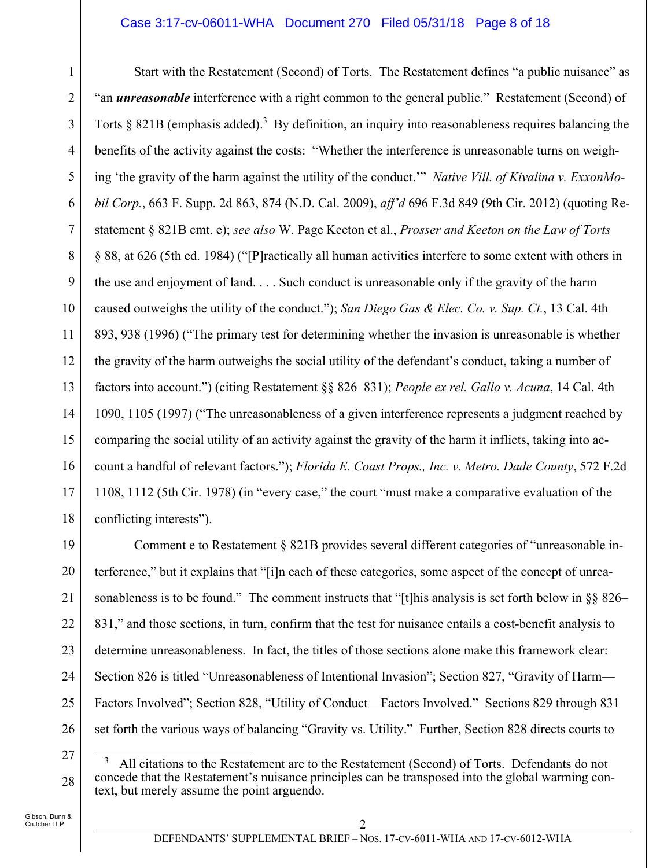### Case 3:17-cv-06011-WHA Document 270 Filed 05/31/18 Page 8 of 18

1 2 3 4 5 6 7 8 9 10 11 12 13 14 15 16 17 18 Start with the Restatement (Second) of Torts. The Restatement defines "a public nuisance" as "an *unreasonable* interference with a right common to the general public." Restatement (Second) of Torts  $\S$  821B (emphasis added).<sup>3</sup> By definition, an inquiry into reasonableness requires balancing the benefits of the activity against the costs: "Whether the interference is unreasonable turns on weighing 'the gravity of the harm against the utility of the conduct.'" *Native Vill. of Kivalina v. ExxonMobil Corp.*, 663 F. Supp. 2d 863, 874 (N.D. Cal. 2009), *aff'd* 696 F.3d 849 (9th Cir. 2012) (quoting Restatement § 821B cmt. e); *see also* W. Page Keeton et al., *Prosser and Keeton on the Law of Torts* § 88, at 626 (5th ed. 1984) ("[P]ractically all human activities interfere to some extent with others in the use and enjoyment of land. . . . Such conduct is unreasonable only if the gravity of the harm caused outweighs the utility of the conduct."); *San Diego Gas & Elec. Co. v. Sup. Ct.*, 13 Cal. 4th 893, 938 (1996) ("The primary test for determining whether the invasion is unreasonable is whether the gravity of the harm outweighs the social utility of the defendant's conduct, taking a number of factors into account.") (citing Restatement §§ 826–831); *People ex rel. Gallo v. Acuna*, 14 Cal. 4th 1090, 1105 (1997) ("The unreasonableness of a given interference represents a judgment reached by comparing the social utility of an activity against the gravity of the harm it inflicts, taking into account a handful of relevant factors."); *Florida E. Coast Props., Inc. v. Metro. Dade County*, 572 F.2d 1108, 1112 (5th Cir. 1978) (in "every case," the court "must make a comparative evaluation of the conflicting interests").

19 20 21 22 23 24 25 26 Comment e to Restatement § 821B provides several different categories of "unreasonable interference," but it explains that "[i]n each of these categories, some aspect of the concept of unreasonableness is to be found." The comment instructs that "[t]his analysis is set forth below in  $\S 826-$ 831," and those sections, in turn, confirm that the test for nuisance entails a cost-benefit analysis to determine unreasonableness. In fact, the titles of those sections alone make this framework clear: Section 826 is titled "Unreasonableness of Intentional Invasion"; Section 827, "Gravity of Harm— Factors Involved"; Section 828, "Utility of Conduct—Factors Involved." Sections 829 through 831 set forth the various ways of balancing "Gravity vs. Utility." Further, Section 828 directs courts to

27

 <sup>3</sup> All citations to the Restatement are to the Restatement (Second) of Torts. Defendants do not concede that the Restatement's nuisance principles can be transposed into the global warming context, but merely assume the point arguendo.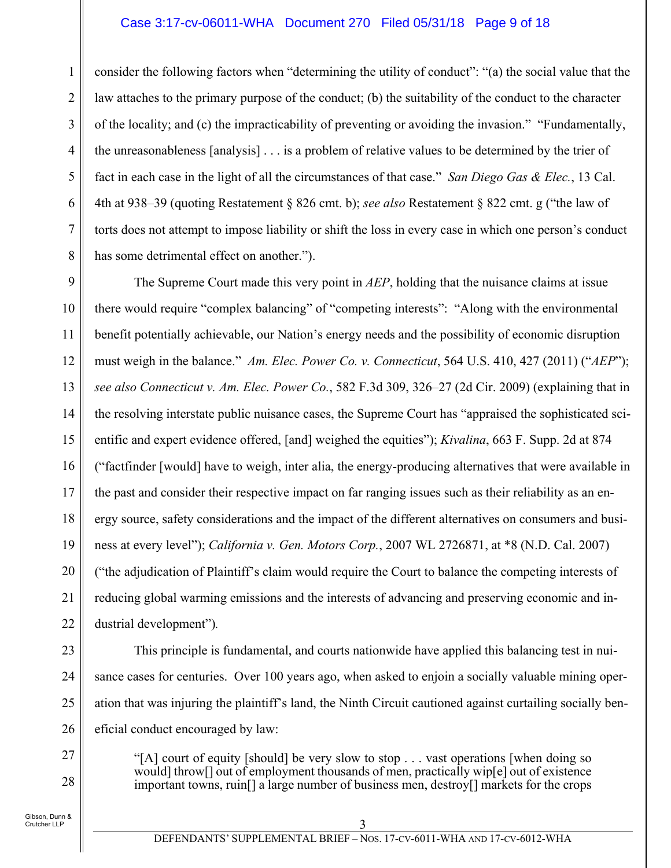#### Case 3:17-cv-06011-WHA Document 270 Filed 05/31/18 Page 9 of 18

consider the following factors when "determining the utility of conduct": "(a) the social value that the law attaches to the primary purpose of the conduct; (b) the suitability of the conduct to the character of the locality; and (c) the impracticability of preventing or avoiding the invasion." "Fundamentally, the unreasonableness [analysis] . . . is a problem of relative values to be determined by the trier of fact in each case in the light of all the circumstances of that case." *San Diego Gas & Elec.*, 13 Cal. 4th at 938–39 (quoting Restatement § 826 cmt. b); *see also* Restatement § 822 cmt. g ("the law of torts does not attempt to impose liability or shift the loss in every case in which one person's conduct has some detrimental effect on another.").

9 10 11 12 13 14 15 16 17 18 19 20 21 22 The Supreme Court made this very point in *AEP*, holding that the nuisance claims at issue there would require "complex balancing" of "competing interests": "Along with the environmental benefit potentially achievable, our Nation's energy needs and the possibility of economic disruption must weigh in the balance." *Am. Elec. Power Co. v. Connecticut*, 564 U.S. 410, 427 (2011) ("*AEP*"); *see also Connecticut v. Am. Elec. Power Co.*, 582 F.3d 309, 326–27 (2d Cir. 2009) (explaining that in the resolving interstate public nuisance cases, the Supreme Court has "appraised the sophisticated scientific and expert evidence offered, [and] weighed the equities"); *Kivalina*, 663 F. Supp. 2d at 874 ("factfinder [would] have to weigh, inter alia, the energy-producing alternatives that were available in the past and consider their respective impact on far ranging issues such as their reliability as an energy source, safety considerations and the impact of the different alternatives on consumers and business at every level"); *California v. Gen. Motors Corp.*, 2007 WL 2726871, at \*8 (N.D. Cal. 2007) ("the adjudication of Plaintiff's claim would require the Court to balance the competing interests of reducing global warming emissions and the interests of advancing and preserving economic and industrial development")*.*

23 24 25 26 This principle is fundamental, and courts nationwide have applied this balancing test in nuisance cases for centuries. Over 100 years ago, when asked to enjoin a socially valuable mining operation that was injuring the plaintiff's land, the Ninth Circuit cautioned against curtailing socially beneficial conduct encouraged by law:

> "[A] court of equity [should] be very slow to stop . . . vast operations [when doing so would] throw[] out of employment thousands of men, practically wip[e] out of existence important towns, ruin[] a large number of business men, destroy[] markets for the crops

27

28

1

2

3

4

5

6

7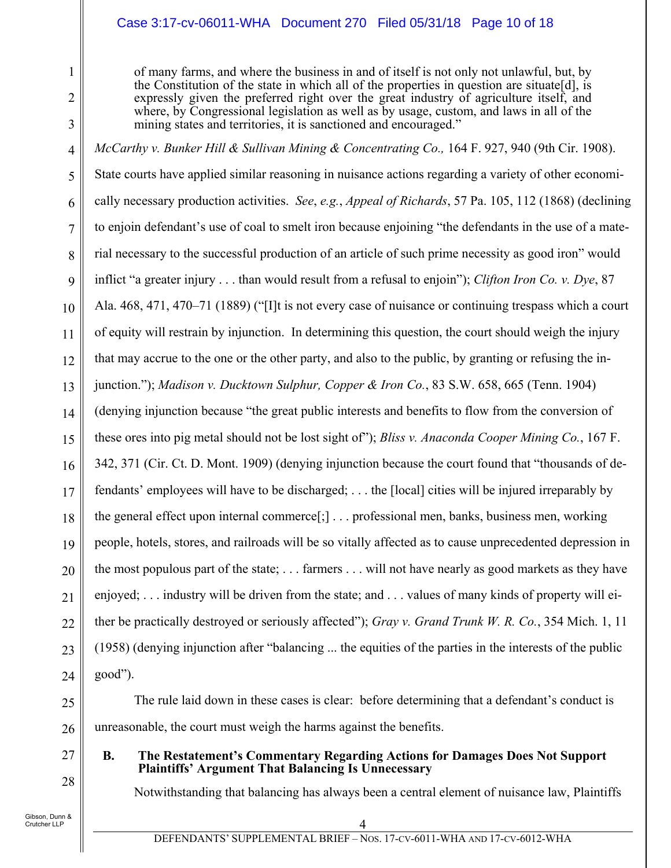# Case 3:17-cv-06011-WHA Document 270 Filed 05/31/18 Page 10 of 18

of many farms, and where the business in and of itself is not only not unlawful, but, by the Constitution of the state in which all of the properties in question are situate[d], is expressly given the preferred right over the great industry of agriculture itself, and where, by Congressional legislation as well as by usage, custom, and laws in all of the mining states and territories, it is sanctioned and encouraged."

4 5 6 7 8 9 10 11 12 13 14 15 16 17 18 19 20 21 22 23 24 *McCarthy v. Bunker Hill & Sullivan Mining & Concentrating Co.,* 164 F. 927, 940 (9th Cir. 1908). State courts have applied similar reasoning in nuisance actions regarding a variety of other economically necessary production activities. *See*, *e.g.*, *Appeal of Richards*, 57 Pa. 105, 112 (1868) (declining to enjoin defendant's use of coal to smelt iron because enjoining "the defendants in the use of a material necessary to the successful production of an article of such prime necessity as good iron" would inflict "a greater injury . . . than would result from a refusal to enjoin"); *Clifton Iron Co. v. Dye*, 87 Ala. 468, 471, 470–71 (1889) ("[I]t is not every case of nuisance or continuing trespass which a court of equity will restrain by injunction. In determining this question, the court should weigh the injury that may accrue to the one or the other party, and also to the public, by granting or refusing the injunction."); *Madison v. Ducktown Sulphur, Copper & Iron Co.*, 83 S.W. 658, 665 (Tenn. 1904) (denying injunction because "the great public interests and benefits to flow from the conversion of these ores into pig metal should not be lost sight of"); *Bliss v. Anaconda Cooper Mining Co.*, 167 F. 342, 371 (Cir. Ct. D. Mont. 1909) (denying injunction because the court found that "thousands of defendants' employees will have to be discharged; . . . the [local] cities will be injured irreparably by the general effect upon internal commerce[;] . . . professional men, banks, business men, working people, hotels, stores, and railroads will be so vitally affected as to cause unprecedented depression in the most populous part of the state; . . . farmers . . . will not have nearly as good markets as they have enjoyed; . . . industry will be driven from the state; and . . . values of many kinds of property will either be practically destroyed or seriously affected"); *Gray v. Grand Trunk W. R. Co.*, 354 Mich. 1, 11 (1958) (denying injunction after "balancing ... the equities of the parties in the interests of the public good").

The rule laid down in these cases is clear: before determining that a defendant's conduct is unreasonable, the court must weigh the harms against the benefits.

# **B. The Restatement's Commentary Regarding Actions for Damages Does Not Support Plaintiffs' Argument That Balancing Is Unnecessary**

Notwithstanding that balancing has always been a central element of nuisance law, Plaintiffs

25

26

27

28

1

2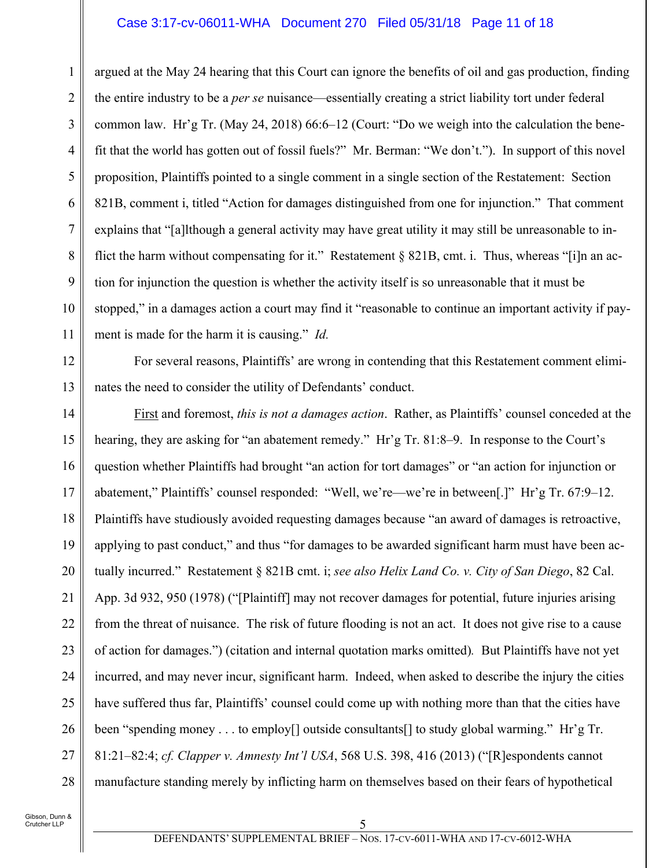#### Case 3:17-cv-06011-WHA Document 270 Filed 05/31/18 Page 11 of 18

1 2 3 4 5 6 7 8 9 10 11 argued at the May 24 hearing that this Court can ignore the benefits of oil and gas production, finding the entire industry to be a *per se* nuisance—essentially creating a strict liability tort under federal common law. Hr'g Tr. (May 24, 2018) 66:6–12 (Court: "Do we weigh into the calculation the benefit that the world has gotten out of fossil fuels?" Mr. Berman: "We don't."). In support of this novel proposition, Plaintiffs pointed to a single comment in a single section of the Restatement: Section 821B, comment i, titled "Action for damages distinguished from one for injunction." That comment explains that "[a]lthough a general activity may have great utility it may still be unreasonable to inflict the harm without compensating for it." Restatement § 821B, cmt. i. Thus, whereas "[i]n an action for injunction the question is whether the activity itself is so unreasonable that it must be stopped," in a damages action a court may find it "reasonable to continue an important activity if payment is made for the harm it is causing." *Id.* 

For several reasons, Plaintiffs' are wrong in contending that this Restatement comment eliminates the need to consider the utility of Defendants' conduct.

14 15 16 17 18 19 20 21 22 23 24 25 26 27 28 First and foremost, *this is not a damages action*. Rather, as Plaintiffs' counsel conceded at the hearing, they are asking for "an abatement remedy." Hr'g Tr. 81:8–9. In response to the Court's question whether Plaintiffs had brought "an action for tort damages" or "an action for injunction or abatement," Plaintiffs' counsel responded: "Well, we're—we're in between[.]" Hr'g Tr. 67:9–12. Plaintiffs have studiously avoided requesting damages because "an award of damages is retroactive, applying to past conduct," and thus "for damages to be awarded significant harm must have been actually incurred." Restatement § 821B cmt. i; *see also Helix Land Co. v. City of San Diego*, 82 Cal. App. 3d 932, 950 (1978) ("[Plaintiff] may not recover damages for potential, future injuries arising from the threat of nuisance. The risk of future flooding is not an act. It does not give rise to a cause of action for damages.") (citation and internal quotation marks omitted)*.* But Plaintiffs have not yet incurred, and may never incur, significant harm. Indeed, when asked to describe the injury the cities have suffered thus far, Plaintiffs' counsel could come up with nothing more than that the cities have been "spending money . . . to employ<sup>[]</sup> outside consultants<sup>[]</sup> to study global warming." Hr'g Tr. 81:21–82:4; *cf. Clapper v. Amnesty Int'l USA*, 568 U.S. 398, 416 (2013) ("[R]espondents cannot manufacture standing merely by inflicting harm on themselves based on their fears of hypothetical

12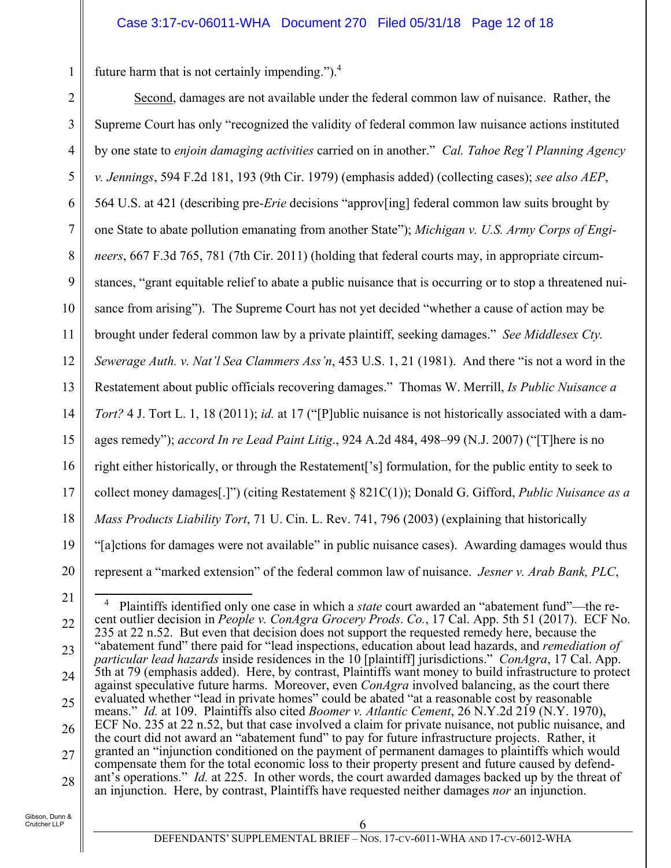future harm that is not certainly impending."). $4$ 

| $\overline{2}$ | Second, damages are not available under the federal common law of nuisance. Rather, the                    |
|----------------|------------------------------------------------------------------------------------------------------------|
| 3              | Supreme Court has only "recognized the validity of federal common law nuisance actions instituted          |
| $\overline{4}$ | by one state to enjoin damaging activities carried on in another." Cal. Tahoe Reg'l Planning Agency        |
| 5              | v. Jennings, 594 F.2d 181, 193 (9th Cir. 1979) (emphasis added) (collecting cases); see also AEP,          |
| 6              | 564 U.S. at 421 (describing pre- <i>Erie</i> decisions "approv[ing] federal common law suits brought by    |
| $\tau$         | one State to abate pollution emanating from another State"); Michigan v. U.S. Army Corps of Engi-          |
| 8              | neers, 667 F.3d 765, 781 (7th Cir. 2011) (holding that federal courts may, in appropriate circum-          |
| 9              | stances, "grant equitable relief to abate a public nuisance that is occurring or to stop a threatened nui- |
| 10             | sance from arising"). The Supreme Court has not yet decided "whether a cause of action may be              |
| 11             | brought under federal common law by a private plaintiff, seeking damages." See Middlesex Cty.              |
| 12             | Sewerage Auth. v. Nat'l Sea Clammers Ass'n, 453 U.S. 1, 21 (1981). And there "is not a word in the         |
| 13             | Restatement about public officials recovering damages." Thomas W. Merrill, Is Public Nuisance a            |
| 14             | Tort? 4 J. Tort L. 1, 18 (2011); id. at 17 ("[P]ublic nuisance is not historically associated with a dam-  |
| 15             | ages remedy"); accord In re Lead Paint Litig., 924 A.2d 484, 498-99 (N.J. 2007) ("[T]here is no            |
| 16             | right either historically, or through the Restatement['s] formulation, for the public entity to seek to    |
| 17             | collect money damages[.]") (citing Restatement § 821C(1)); Donald G. Gifford, Public Nuisance as a         |
| 18             | Mass Products Liability Tort, 71 U. Cin. L. Rev. 741, 796 (2003) (explaining that historically             |
| 19             | "[a]ctions for damages were not available" in public nuisance cases). Awarding damages would thus          |
| 20             | represent a "marked extension" of the federal common law of nuisance. Jesner v. Arab Bank, PLC,            |

<sup>21</sup>

<sup>22</sup> 23 24 25 26 27 28  $\frac{1}{4}$  Plaintiffs identified only one case in which a *state* court awarded an "abatement fund"—the recent outlier decision in *People v. ConAgra Grocery Prods*. *Co.*, 17 Cal. App. 5th 51 (2017). ECF No. 235 at 22 n.52. But even that decision does not support the requested remedy here, because the "abatement fund" there paid for "lead inspections, education about lead hazards, and *remediation of particular lead hazards* inside residences in the 10 [plaintiff] jurisdictions." *ConAgra*, 17 Cal. App. 5th at 79 (emphasis added). Here, by contrast, Plaintiffs want money to build infrastructure to protect against speculative future harms. Moreover, even *ConAgra* involved balancing, as the court there evaluated whether "lead in private homes" could be abated "at a reasonable cost by reasonable means." *Id.* at 109. Plaintiffs also cited *Boomer v. Atlantic Cement*, 26 N.Y.2d 219 (N.Y. 1970), ECF No. 235 at 22 n.52, but that case involved a claim for private nuisance, not public nuisance, and the court did not award an "abatement fund" to pay for future infrastructure projects. Rather, it granted an "injunction conditioned on the payment of permanent damages to plaintiffs which would compensate them for the total economic loss to their property present and future caused by defendant's operations." *Id.* at 225. In other words, the court awarded damages backed up by the threat of an injunction. Here, by contrast, Plaintiffs have requested neither damages *nor* an injunction.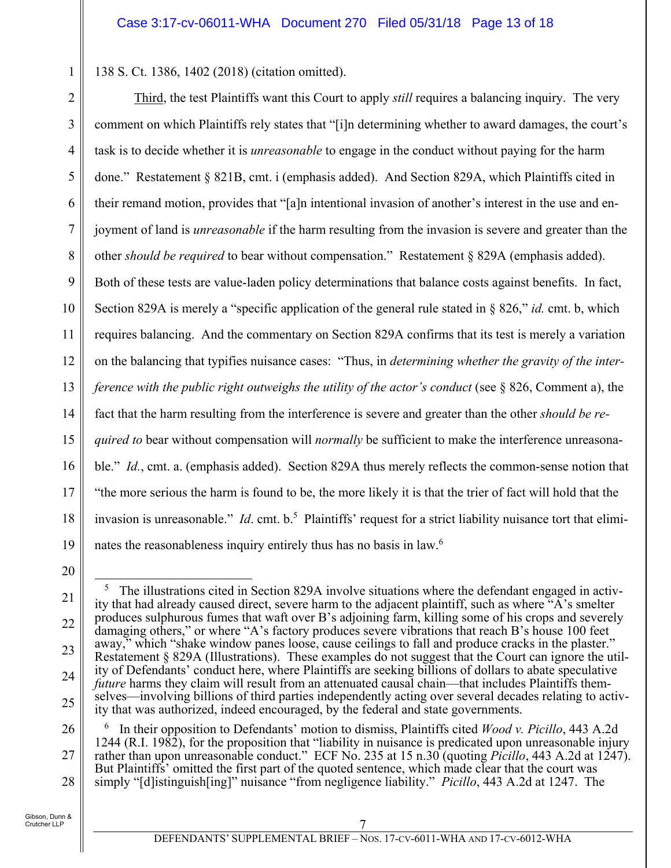138 S. Ct. 1386, 1402 (2018) (citation omitted).

2 3 4 5 6 7 8 9 10 11 12 13 14 15 16 17 18 19 Third, the test Plaintiffs want this Court to apply *still* requires a balancing inquiry. The very comment on which Plaintiffs rely states that "[i]n determining whether to award damages, the court's task is to decide whether it is *unreasonable* to engage in the conduct without paying for the harm done." Restatement § 821B, cmt. i (emphasis added). And Section 829A, which Plaintiffs cited in their remand motion, provides that "[a]n intentional invasion of another's interest in the use and enjoyment of land is *unreasonable* if the harm resulting from the invasion is severe and greater than the other *should be required* to bear without compensation." Restatement § 829A (emphasis added). Both of these tests are value-laden policy determinations that balance costs against benefits. In fact, Section 829A is merely a "specific application of the general rule stated in § 826," *id.* cmt. b, which requires balancing. And the commentary on Section 829A confirms that its test is merely a variation on the balancing that typifies nuisance cases: "Thus, in *determining whether the gravity of the interference with the public right outweighs the utility of the actor's conduct* (see § 826, Comment a), the fact that the harm resulting from the interference is severe and greater than the other *should be required to* bear without compensation will *normally* be sufficient to make the interference unreasonable." *Id.*, cmt. a. (emphasis added). Section 829A thus merely reflects the common-sense notion that "the more serious the harm is found to be, the more likely it is that the trier of fact will hold that the invasion is unreasonable." *Id*. cmt. b.<sup>5</sup> Plaintiffs' request for a strict liability nuisance tort that eliminates the reasonableness inquiry entirely thus has no basis in law.<sup>6</sup>

20

21

22

23

24

25

<sup>5</sup> The illustrations cited in Section 829A involve situations where the defendant engaged in activity that had already caused direct, severe harm to the adjacent plaintiff, such as where "A's smelter produces sulphurous fumes that waft over B's adjoining farm, killing some of his crops and severely damaging others," or where "A's factory produces severe vibrations that reach B's house 100 feet away," which "shake window panes loose, cause ceilings to fall and produce cracks in the plaster." Restatement § 829A (Illustrations). These examples do not suggest that the Court can ignore the utility of Defendants' conduct here, where Plaintiffs are seeking billions of dollars to abate speculative *future* harms they claim will result from an attenuated causal chain—that includes Plaintiffs themselves—involving billions of third parties independently acting over several decades relating to activity that was authorized, indeed encouraged, by the federal and state governments.

<sup>26</sup> 27 28 6 In their opposition to Defendants' motion to dismiss, Plaintiffs cited *Wood v. Picillo*, 443 A.2d 1244 (R.I. 1982), for the proposition that "liability in nuisance is predicated upon unreasonable injury rather than upon unreasonable conduct." ECF No. 235 at 15 n.30 (quoting *Picillo*, 443 A.2d at 1247). But Plaintiffs' omitted the first part of the quoted sentence, which made clear that the court was simply "[d]istinguish[ing]" nuisance "from negligence liability." *Picillo*, 443 A.2d at 1247. The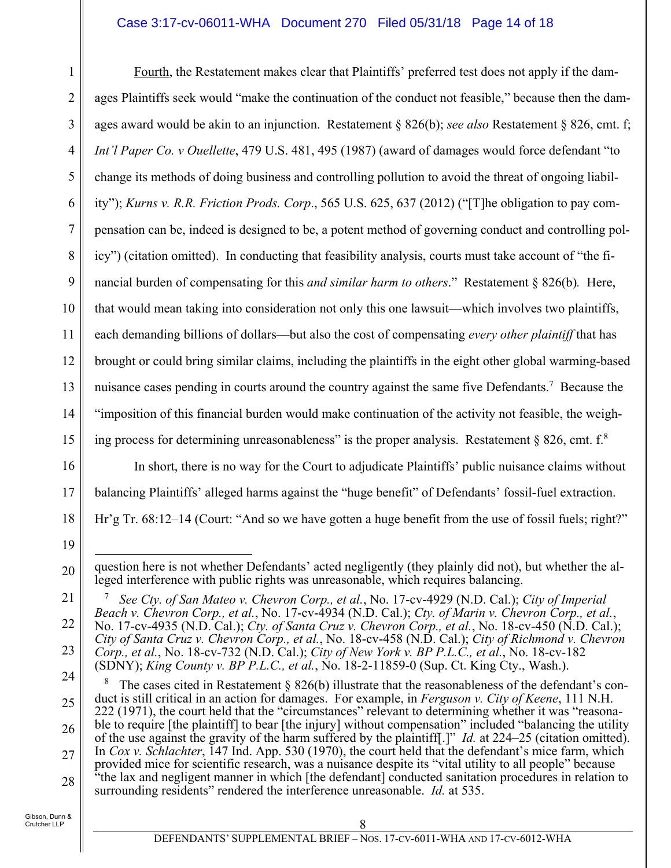### Case 3:17-cv-06011-WHA Document 270 Filed 05/31/18 Page 14 of 18

1 2 3 4 5 6 7 8 9 10 11 12 13 14 15 Fourth, the Restatement makes clear that Plaintiffs' preferred test does not apply if the damages Plaintiffs seek would "make the continuation of the conduct not feasible," because then the damages award would be akin to an injunction. Restatement § 826(b); *see also* Restatement § 826, cmt. f; *Int'l Paper Co. v Ouellette*, 479 U.S. 481, 495 (1987) (award of damages would force defendant "to change its methods of doing business and controlling pollution to avoid the threat of ongoing liability"); *Kurns v. R.R. Friction Prods. Corp*., 565 U.S. 625, 637 (2012) ("[T]he obligation to pay compensation can be, indeed is designed to be, a potent method of governing conduct and controlling policy") (citation omitted). In conducting that feasibility analysis, courts must take account of "the financial burden of compensating for this *and similar harm to others*." Restatement § 826(b)*.* Here, that would mean taking into consideration not only this one lawsuit—which involves two plaintiffs, each demanding billions of dollars—but also the cost of compensating *every other plaintiff* that has brought or could bring similar claims, including the plaintiffs in the eight other global warming-based nuisance cases pending in courts around the country against the same five Defendants.<sup>7</sup> Because the "imposition of this financial burden would make continuation of the activity not feasible, the weighing process for determining unreasonableness" is the proper analysis. Restatement  $\S 826$ , cmt. f.<sup>8</sup>

- 16 17
- 18
- 19

balancing Plaintiffs' alleged harms against the "huge benefit" of Defendants' fossil-fuel extraction.

Hr'g Tr. 68:12–14 (Court: "And so we have gotten a huge benefit from the use of fossil fuels; right?"

In short, there is no way for the Court to adjudicate Plaintiffs' public nuisance claims without

<sup>20</sup> question here is not whether Defendants' acted negligently (they plainly did not), but whether the alleged interference with public rights was unreasonable, which requires balancing.

<sup>21</sup> 22 <sup>7</sup> *See Cty. of San Mateo v. Chevron Corp., et al.*, No. 17-cv-4929 (N.D. Cal.); *City of Imperial Beach v. Chevron Corp., et al.*, No. 17-cv-4934 (N.D. Cal.); *Cty. of Marin v. Chevron Corp., et al.*,

<sup>23</sup> No. 17-cv-4935 (N.D. Cal.); *Cty. of Santa Cruz v. Chevron Corp., et al.*, No. 18-cv-450 (N.D. Cal.); *City of Santa Cruz v. Chevron Corp., et al.*, No. 18-cv-458 (N.D. Cal.); *City of Richmond v. Chevron Corp., et al.*, No. 18-cv-732 (N.D. Cal.); *City of New York v. BP P.L.C., et al.*, No. 18-cv-182 (SDNY); *King County v. BP P.L.C., et al.*, No. 18-2-11859-0 (Sup. Ct. King Cty., Wash.).

<sup>24</sup> 25 26 27 28 <sup>8</sup> The cases cited in Restatement  $\S 826(b)$  illustrate that the reasonableness of the defendant's conduct is still critical in an action for damages. For example, in *Ferguson v. City of Keene*, 111 N.H. 222 (1971), the court held that the "circumstances" relevant to determining whether it was "reasonable to require [the plaintiff] to bear [the injury] without compensation" included "balancing the utility of the use against the gravity of the harm suffered by the plaintiff[.]" *Id.* at 224–25 (citation omitted). In *Cox v. Schlachter*, 147 Ind. App. 530 (1970), the court held that the defendant's mice farm, which provided mice for scientific research, was a nuisance despite its "vital utility to all people" because "the lax and negligent manner in which [the defendant] conducted sanitation procedures in relation to

surrounding residents" rendered the interference unreasonable. *Id.* at 535.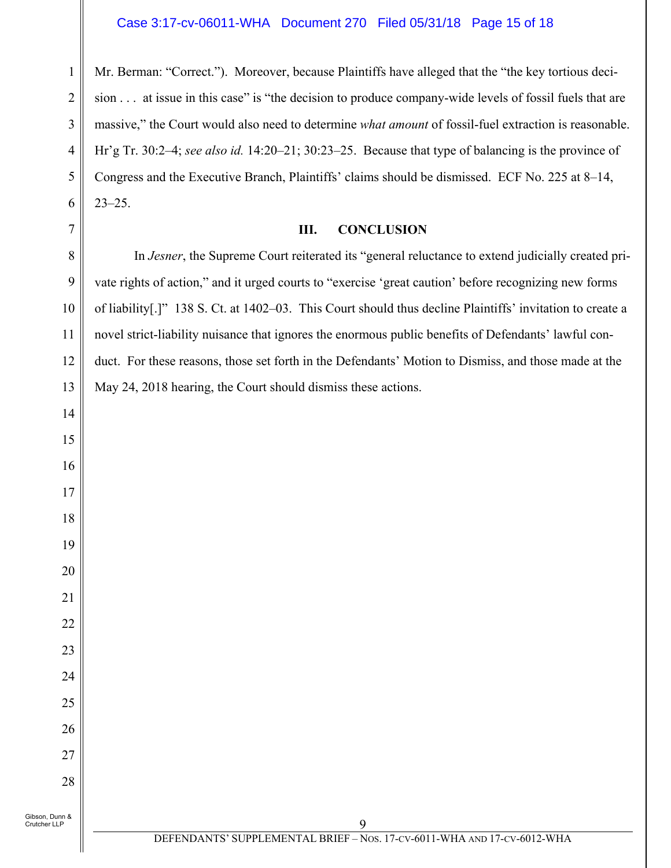Mr. Berman: "Correct."). Moreover, because Plaintiffs have alleged that the "the key tortious decision . . . at issue in this case" is "the decision to produce company-wide levels of fossil fuels that are massive," the Court would also need to determine *what amount* of fossil-fuel extraction is reasonable. Hr'g Tr. 30:2–4; *see also id.* 14:20–21; 30:23–25. Because that type of balancing is the province of Congress and the Executive Branch, Plaintiffs' claims should be dismissed. ECF No. 225 at 8–14, 23–25.

#### **III. CONCLUSION**

In *Jesner*, the Supreme Court reiterated its "general reluctance to extend judicially created private rights of action," and it urged courts to "exercise 'great caution' before recognizing new forms of liability[.]" 138 S. Ct. at 1402–03. This Court should thus decline Plaintiffs' invitation to create a novel strict-liability nuisance that ignores the enormous public benefits of Defendants' lawful conduct. For these reasons, those set forth in the Defendants' Motion to Dismiss, and those made at the May 24, 2018 hearing, the Court should dismiss these actions.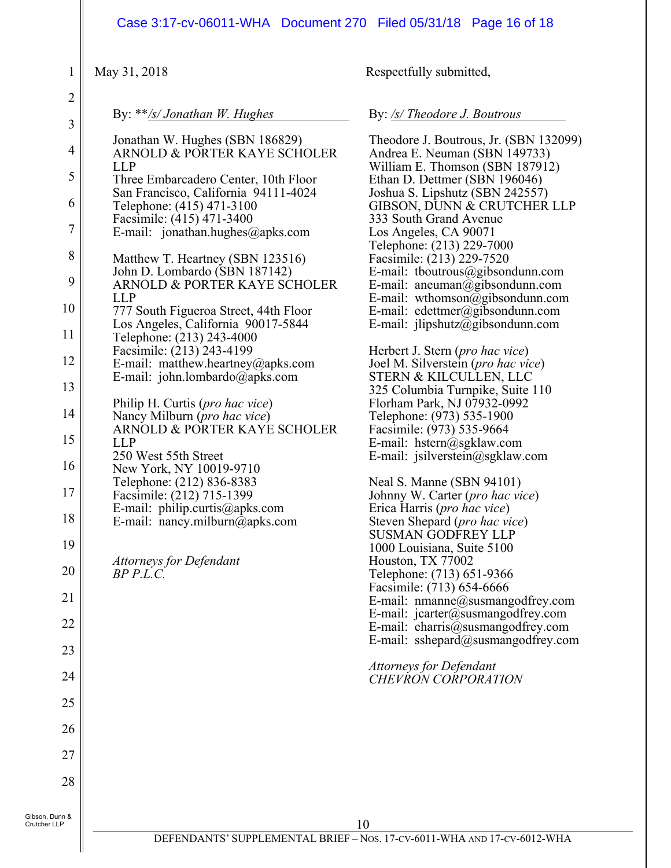|                                                                                                                                                                | Case 3:17-cv-06011-WHA  Document 270  Filed 05/31/18  Page 16 of 18                                                                                                                                                                                                                                                                                                                                                                                                                                                                                                                                                                                                                                                                                                                                                                                                                                                                                 |                                                                                                                                                                                                                                                                                                                                                                                                                                                                                                                                                                                                                                                                                                                                                                                                                                                                                                                                                                                                                                                                                                                                                                                                                                                                                                                        |
|----------------------------------------------------------------------------------------------------------------------------------------------------------------|-----------------------------------------------------------------------------------------------------------------------------------------------------------------------------------------------------------------------------------------------------------------------------------------------------------------------------------------------------------------------------------------------------------------------------------------------------------------------------------------------------------------------------------------------------------------------------------------------------------------------------------------------------------------------------------------------------------------------------------------------------------------------------------------------------------------------------------------------------------------------------------------------------------------------------------------------------|------------------------------------------------------------------------------------------------------------------------------------------------------------------------------------------------------------------------------------------------------------------------------------------------------------------------------------------------------------------------------------------------------------------------------------------------------------------------------------------------------------------------------------------------------------------------------------------------------------------------------------------------------------------------------------------------------------------------------------------------------------------------------------------------------------------------------------------------------------------------------------------------------------------------------------------------------------------------------------------------------------------------------------------------------------------------------------------------------------------------------------------------------------------------------------------------------------------------------------------------------------------------------------------------------------------------|
| $\mathbf{1}$                                                                                                                                                   | May 31, 2018                                                                                                                                                                                                                                                                                                                                                                                                                                                                                                                                                                                                                                                                                                                                                                                                                                                                                                                                        | Respectfully submitted,                                                                                                                                                                                                                                                                                                                                                                                                                                                                                                                                                                                                                                                                                                                                                                                                                                                                                                                                                                                                                                                                                                                                                                                                                                                                                                |
| $\overline{c}$                                                                                                                                                 | By: **/s/ Jonathan W. Hughes                                                                                                                                                                                                                                                                                                                                                                                                                                                                                                                                                                                                                                                                                                                                                                                                                                                                                                                        | By: <u>/s/ Theodore J. Boutrous</u>                                                                                                                                                                                                                                                                                                                                                                                                                                                                                                                                                                                                                                                                                                                                                                                                                                                                                                                                                                                                                                                                                                                                                                                                                                                                                    |
| 3<br>$\overline{4}$<br>5<br>6<br>7<br>$\,8\,$<br>9<br>10<br>11<br>12<br>13<br>14<br>15<br>16<br>17<br>18<br>19<br>20<br>21<br>22<br>23<br>24<br>25<br>26<br>27 | Jonathan W. Hughes (SBN 186829)<br>ARNOLD & PORTER KAYE SCHOLER<br><b>LLP</b><br>Three Embarcadero Center, 10th Floor<br>San Francisco, California 94111-4024<br>Telephone: (415) 471-3100<br>Facsimile: (415) 471-3400<br>E-mail: jonathan.hughes@apks.com<br>Matthew T. Heartney (SBN 123516)<br>John D. Lombardo (SBN 187142)<br>ARNOLD & PORTER KAYE SCHOLER<br><b>LLP</b><br>777 South Figueroa Street, 44th Floor<br>Los Angeles, California 90017-5844<br>Telephone: (213) 243-4000<br>Facsimile: (213) 243-4199<br>E-mail: matthew.heartney@apks.com<br>E-mail: john.lombardo@apks.com<br>Philip H. Curtis (pro hac vice)<br>Nancy Milburn (pro hac vice)<br>ARNOLD & PORTER KAYE SCHOLER<br><b>LLP</b><br>250 West 55th Street<br>New York, NY 10019-9710<br>Telephone: (212) 836-8383<br>Facsimile: (212) 715-1399<br>E-mail: philip.curtis@apks.com<br>E-mail: nancy.milburn@apks.com<br><b>Attorneys for Defendant</b><br>$BP$ $P.L.C.$ | Theodore J. Boutrous, Jr. (SBN 132099)<br>Andrea E. Neuman (SBN 149733)<br>William E. Thomson (SBN 187912)<br>Ethan D. Dettmer (SBN 196046)<br>Joshua S. Lipshutz (SBN 242557)<br>GIBSON, DUNN & CRUTCHER LLP<br>333 South Grand Avenue<br>Los Angeles, CA 90071<br>Telephone: (213) 229-7000<br>Facsimile: (213) 229-7520<br>E-mail: tboutrous@gibsondunn.com<br>E-mail: aneuman@gibsondunn.com<br>E-mail: wthomson@gibsondunn.com<br>E-mail: edettmer@gibsondunn.com<br>E-mail: $j$ lipshutz@gibsondunn.com<br>Herbert J. Stern ( <i>pro hac vice</i> )<br>Joel M. Silverstein (pro hac vice)<br>STERN & KILCULLEN, LLC<br>325 Columbia Turnpike, Suite 110<br>Florham Park, NJ 07932-0992<br>Telephone: (973) 535-1900<br>Facsimile: (973) 535-9664<br>E-mail: hstern@sgklaw.com<br>E-mail: jsilverstein@sgklaw.com<br>Neal S. Manne (SBN 94101)<br>Johnny W. Carter (pro hac vice)<br>Erica Harris (pro hac vice)<br>Steven Shepard (pro hac vice)<br><b>SUSMAN GODFREY LLP</b><br>1000 Louisiana, Suite 5100<br>Houston, TX 77002<br>Telephone: (713) 651-9366<br>Facsimile: (713) 654-6666<br>E-mail: nmanne@susmangodfrey.com<br>E-mail: $jcarter@susmangodfrey.com$<br>E-mail: eharris@susmangodfrey.com<br>E-mail: sshepard@susmangodfrey.com<br><b>Attorneys for Defendant</b><br><b>CHEVRON CORPORATION</b> |
| 28                                                                                                                                                             |                                                                                                                                                                                                                                                                                                                                                                                                                                                                                                                                                                                                                                                                                                                                                                                                                                                                                                                                                     |                                                                                                                                                                                                                                                                                                                                                                                                                                                                                                                                                                                                                                                                                                                                                                                                                                                                                                                                                                                                                                                                                                                                                                                                                                                                                                                        |
| Gibson, Dunn &<br>Crutcher LLP                                                                                                                                 |                                                                                                                                                                                                                                                                                                                                                                                                                                                                                                                                                                                                                                                                                                                                                                                                                                                                                                                                                     |                                                                                                                                                                                                                                                                                                                                                                                                                                                                                                                                                                                                                                                                                                                                                                                                                                                                                                                                                                                                                                                                                                                                                                                                                                                                                                                        |
|                                                                                                                                                                |                                                                                                                                                                                                                                                                                                                                                                                                                                                                                                                                                                                                                                                                                                                                                                                                                                                                                                                                                     | 10                                                                                                                                                                                                                                                                                                                                                                                                                                                                                                                                                                                                                                                                                                                                                                                                                                                                                                                                                                                                                                                                                                                                                                                                                                                                                                                     |

 $\parallel$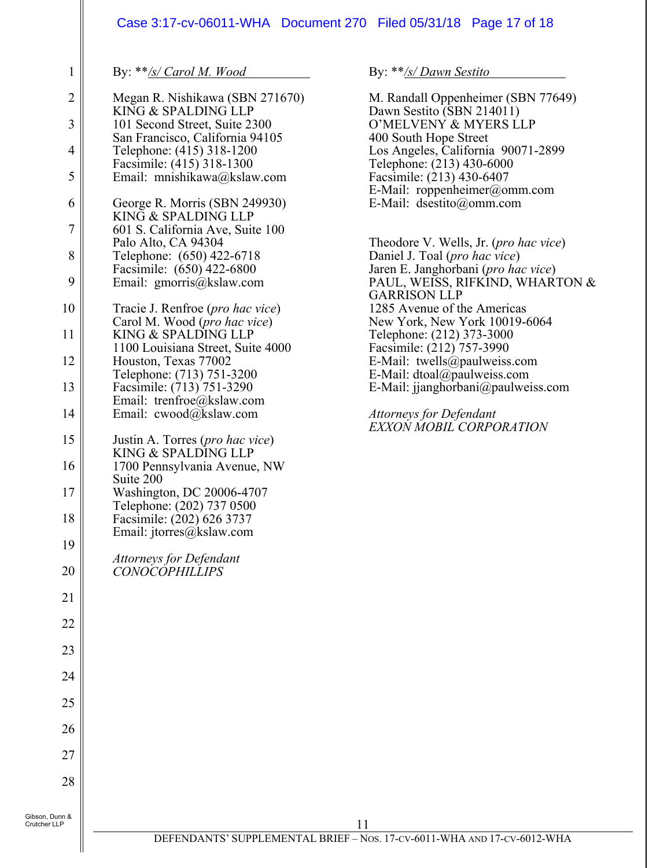### Case 3:17-cv-06011-WHA Document 270 Filed 05/31/18 Page 17 of 18

By: \*\**/s/ Carol M. Wood*

1

| $\overline{c}$          | Megan R. Nishikawa (SBN 271670)<br>KING & SPALDING LLP           |
|-------------------------|------------------------------------------------------------------|
| $\overline{\mathbf{3}}$ | 101 Second Street, Suite 2300<br>San Francisco, California 94105 |
| $\overline{4}$          | Telephone: (415) 318-1200                                        |
| 5                       | Facsimile: (415) 318-1300<br>Email: mnishikawa@kslaw.com         |
| 6                       | George R. Morris (SBN 249930)<br>KING & SPALDING LLP             |
| $\overline{7}$          | 601 S. California Ave, Suite 100                                 |
| 8                       | Palo Alto, CA 94304<br>Telephone: (650) 422-6718                 |
| 9                       | Facsimile: (650) 422-6800<br>Email: gmorris@kslaw.com            |
| 10                      | Tracie J. Renfroe (pro hac vice)<br>Carol M. Wood (pro hac vice) |
| 11                      | KING & SPALDING LLP<br>1100 Louisiana Street, Suite 4000         |
| 12                      | Houston, Texas 77002<br>Telephone: (713) 751-3200                |
| 13                      | Facsimile: (713) 751-3290<br>Email: trenfroe@kslaw.com           |
| 14                      | Email: cwood@kslaw.com                                           |
| 15                      | Justin A. Torres ( <i>pro hac vice</i> )<br>KING & SPALDING LLP  |
| 16                      | 1700 Pennsylvania Avenue, NW<br>Suite 200                        |
| 17                      | Washington, DC 20006-4707<br>Telephone: (202) 737 0500           |
| 18                      | Facsimile: (202) 626 3737<br>Email: jtorres@kslaw.com            |
| 19                      | <b>Attorneys for Defendant</b>                                   |
| 20                      | <b>CONOCOPHILLIPS</b>                                            |
| 21                      |                                                                  |
| 22                      |                                                                  |
| 23                      |                                                                  |
| 24                      |                                                                  |
| 25                      |                                                                  |
| 26                      |                                                                  |
| 27                      |                                                                  |
| 28                      |                                                                  |
| n &                     |                                                                  |

By: \*\**/s/ Dawn Sestito*

M. Randall Oppenheimer (SBN 77649) Dawn Sestito (SBN 214011) O'MELVENY & MYERS LLP 400 South Hope Street Los Angeles, California 90071-2899 Telephone: (213) 430-6000 Facsimile: (213) 430-6407 E-Mail: roppenheimer@omm.com E-Mail: dsestito@omm.com Theodore V. Wells, Jr. (*pro hac vice*)

Daniel J. Toal (*pro hac vice*) Jaren E. Janghorbani (*pro hac vice*) PAUL, WEISS, RIFKIND, WHARTON & GARRISON LLP 1285 Avenue of the Americas New York, New York 10019-6064 Telephone: (212) 373-3000 Facsimile: (212) 757-3990 E-Mail: twells@paulweiss.com E-Mail: dtoal@paulweiss.com E-Mail: jjanghorbani@paulweiss.com

*Attorneys for Defendant EXXON MOBIL CORPORATION*